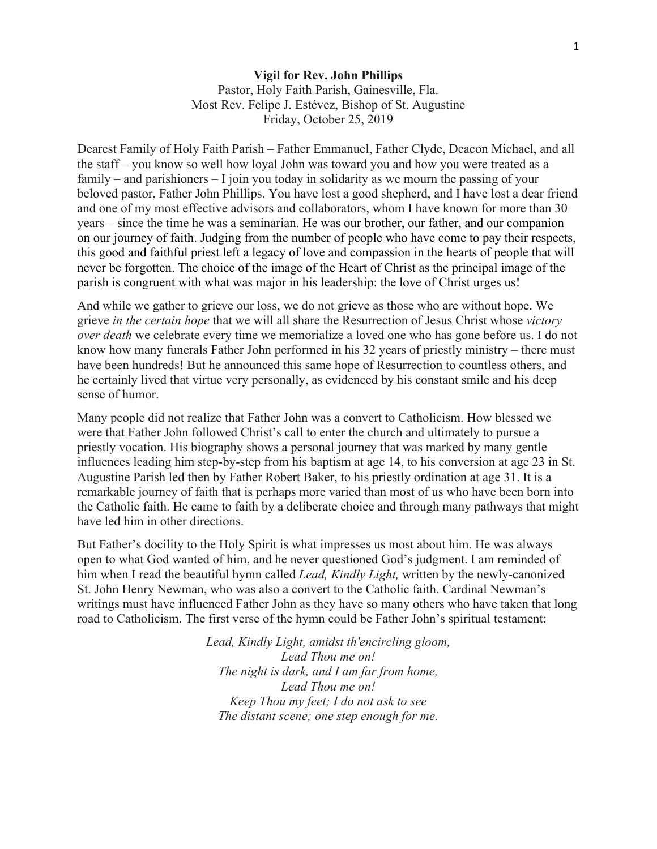## **Vigil for Rev. John Phillips**  Pastor, Holy Faith Parish, Gainesville, Fla. Most Rev. Felipe J. Estévez, Bishop of St. Augustine Friday, October 25, 2019

Dearest Family of Holy Faith Parish – Father Emmanuel, Father Clyde, Deacon Michael, and all the staff – you know so well how loyal John was toward you and how you were treated as a family – and parishioners – I join you today in solidarity as we mourn the passing of your beloved pastor, Father John Phillips. You have lost a good shepherd, and I have lost a dear friend and one of my most effective advisors and collaborators, whom I have known for more than 30 years – since the time he was a seminarian. He was our brother, our father, and our companion on our journey of faith. Judging from the number of people who have come to pay their respects, this good and faithful priest left a legacy of love and compassion in the hearts of people that will never be forgotten. The choice of the image of the Heart of Christ as the principal image of the parish is congruent with what was major in his leadership: the love of Christ urges us!

And while we gather to grieve our loss, we do not grieve as those who are without hope. We grieve *in the certain hope* that we will all share the Resurrection of Jesus Christ whose *victory over death* we celebrate every time we memorialize a loved one who has gone before us. I do not know how many funerals Father John performed in his 32 years of priestly ministry – there must have been hundreds! But he announced this same hope of Resurrection to countless others, and he certainly lived that virtue very personally, as evidenced by his constant smile and his deep sense of humor.

Many people did not realize that Father John was a convert to Catholicism. How blessed we were that Father John followed Christ's call to enter the church and ultimately to pursue a priestly vocation. His biography shows a personal journey that was marked by many gentle influences leading him step-by-step from his baptism at age 14, to his conversion at age 23 in St. Augustine Parish led then by Father Robert Baker, to his priestly ordination at age 31. It is a remarkable journey of faith that is perhaps more varied than most of us who have been born into the Catholic faith. He came to faith by a deliberate choice and through many pathways that might have led him in other directions.

But Father's docility to the Holy Spirit is what impresses us most about him. He was always open to what God wanted of him, and he never questioned God's judgment. I am reminded of him when I read the beautiful hymn called *Lead, Kindly Light,* written by the newly-canonized St. John Henry Newman, who was also a convert to the Catholic faith. Cardinal Newman's writings must have influenced Father John as they have so many others who have taken that long road to Catholicism. The first verse of the hymn could be Father John's spiritual testament:

> *Lead, Kindly Light, amidst th'encircling gloom, Lead Thou me on! The night is dark, and I am far from home, Lead Thou me on! Keep Thou my feet; I do not ask to see The distant scene; one step enough for me.*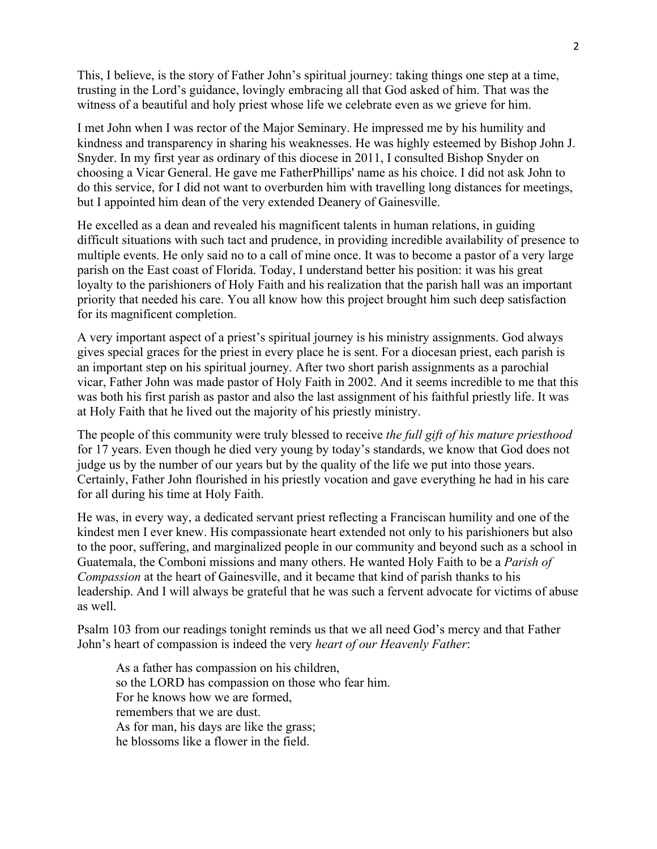This, I believe, is the story of Father John's spiritual journey: taking things one step at a time, trusting in the Lord's guidance, lovingly embracing all that God asked of him. That was the witness of a beautiful and holy priest whose life we celebrate even as we grieve for him.

I met John when I was rector of the Major Seminary. He impressed me by his humility and kindness and transparency in sharing his weaknesses. He was highly esteemed by Bishop John J. Snyder. In my first year as ordinary of this diocese in 2011, I consulted Bishop Snyder on choosing a Vicar General. He gave me FatherPhillips' name as his choice. I did not ask John to do this service, for I did not want to overburden him with travelling long distances for meetings, but I appointed him dean of the very extended Deanery of Gainesville.

He excelled as a dean and revealed his magnificent talents in human relations, in guiding difficult situations with such tact and prudence, in providing incredible availability of presence to multiple events. He only said no to a call of mine once. It was to become a pastor of a very large parish on the East coast of Florida. Today, I understand better his position: it was his great loyalty to the parishioners of Holy Faith and his realization that the parish hall was an important priority that needed his care. You all know how this project brought him such deep satisfaction for its magnificent completion.

A very important aspect of a priest's spiritual journey is his ministry assignments. God always gives special graces for the priest in every place he is sent. For a diocesan priest, each parish is an important step on his spiritual journey. After two short parish assignments as a parochial vicar, Father John was made pastor of Holy Faith in 2002. And it seems incredible to me that this was both his first parish as pastor and also the last assignment of his faithful priestly life. It was at Holy Faith that he lived out the majority of his priestly ministry.

The people of this community were truly blessed to receive *the full gift of his mature priesthood* for 17 years. Even though he died very young by today's standards, we know that God does not judge us by the number of our years but by the quality of the life we put into those years. Certainly, Father John flourished in his priestly vocation and gave everything he had in his care for all during his time at Holy Faith.

He was, in every way, a dedicated servant priest reflecting a Franciscan humility and one of the kindest men I ever knew. His compassionate heart extended not only to his parishioners but also to the poor, suffering, and marginalized people in our community and beyond such as a school in Guatemala, the Comboni missions and many others. He wanted Holy Faith to be a *Parish of Compassion* at the heart of Gainesville, and it became that kind of parish thanks to his leadership. And I will always be grateful that he was such a fervent advocate for victims of abuse as well.

Psalm 103 from our readings tonight reminds us that we all need God's mercy and that Father John's heart of compassion is indeed the very *heart of our Heavenly Father*:

As a father has compassion on his children, so the LORD has compassion on those who fear him. For he knows how we are formed, remembers that we are dust. As for man, his days are like the grass; he blossoms like a flower in the field.